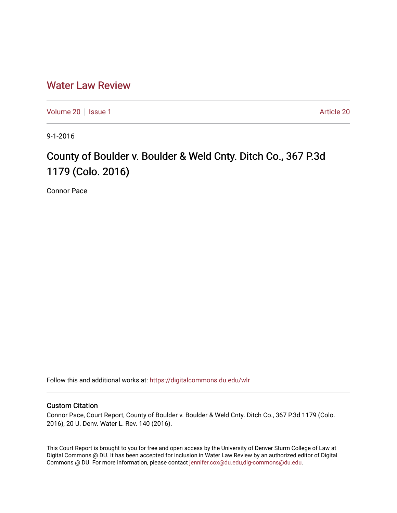# [Water Law Review](https://digitalcommons.du.edu/wlr)

[Volume 20](https://digitalcommons.du.edu/wlr/vol20) | [Issue 1](https://digitalcommons.du.edu/wlr/vol20/iss1) [Article 20](https://digitalcommons.du.edu/wlr/vol20/iss1/20) | Article 20 | Article 20 | Article 20 | Article 20 | Article 20 | Article 20 | Article 20 | Article 20 | Article 20 | Article 20 | Article 20 | Article 20 | Article 20 | Article 20 | Article

9-1-2016

# County of Boulder v. Boulder & Weld Cnty. Ditch Co., 367 P.3d 1179 (Colo. 2016)

Connor Pace

Follow this and additional works at: [https://digitalcommons.du.edu/wlr](https://digitalcommons.du.edu/wlr?utm_source=digitalcommons.du.edu%2Fwlr%2Fvol20%2Fiss1%2F20&utm_medium=PDF&utm_campaign=PDFCoverPages) 

## Custom Citation

Connor Pace, Court Report, County of Boulder v. Boulder & Weld Cnty. Ditch Co., 367 P.3d 1179 (Colo. 2016), 20 U. Denv. Water L. Rev. 140 (2016).

This Court Report is brought to you for free and open access by the University of Denver Sturm College of Law at Digital Commons @ DU. It has been accepted for inclusion in Water Law Review by an authorized editor of Digital Commons @ DU. For more information, please contact [jennifer.cox@du.edu,dig-commons@du.edu.](mailto:jennifer.cox@du.edu,dig-commons@du.edu)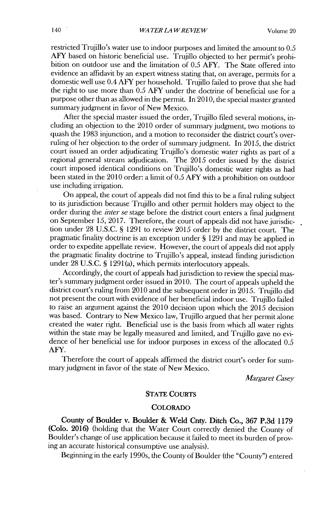restricted Trujillo's water use to indoor purposes and limited the amount to *0.5* AFY based on historic beneficial use. Trujillo objected to her permit's prohibition on outdoor use and the limitation of **0.5** AFY. The State offered into evidence an affidavit **by** an expert witness stating that, on average, permits for a domestic well use 0.4 AFY per household. Trujillo failed to prove that she had the right to use more than *0.5* AFY under the doctrine of beneficial use for a purpose other than as allowed in the permit. In **2010,** the special master granted summary judgment in favor of New Mexico.

After the special master issued the order, Trujillo filed several motions, including an objection to the 2010 order of summary judgment, two motions to quash the **1983** injunction, and a motion to reconsider the district court's overruling of her objection to the order of summaryjudgment. In **2015,** the district court issued an order adjudicating Trujillo's domestic water rights as part of a regional general stream adjudication. The **2015** order issued **by** the district court imposed identical conditions on Trujillo's domestic water rights as had been stated in the 2010 order: a limit of **0.5** AFY with a prohibition on outdoor use including irrigation.

On appeal, the court of appeals did not find this to be a final ruling subject to its jurisdiction because Trujillo and other permit holders may object to the order during the *itler se* stage before the district court enters a final judgment on September *15,* **2017.** Therefore, the **court** of appeals **did** not have jurisdiction under **28 U.S.C. § 1291** to review **2015** order **by** the district court. The pragmatic finality doctrine is an exception under **§ 1291** and may be applied in order to expedite appellate review. However, the court of appeals **did** not apply the pragmatic finality doctrine to Trujillo's appeal, instead finding jurisdiction under **28 U.S.C. § 1291(a),** which permits interlocutory appeals.

Accordingly, the court of appeals had jurisdiction to review the special master's summary judgment order issued in **2010.** The court of appeals upheld the district court's ruling from 2010 and the subsequent order in **2015.** Trujillo **did** not present the court with evidence of her beneficial indoor use. Trujillo failed to raise an argument against the 2010 decision upon which the **2015** decision was based. Contrary to New Mexico law, Trujillo argued that her permit alone created the water right. Beneficial use is the basis from which all water rights within the state may be legally measured and limited, and Trujillo gave no evidence of her beneficial use for indoor purposes in excess of the allocated *0.5* AFY.

Therefore the court of appeals affirmed the district court's order for summary judgment in favor of the state of New Mexico.

*Margaret Casey*

### **STATE COURTS**

#### **COLORADO**

County of Boulder v. Boulder **&** Weld Cnty. Ditch Co., **367 P.3d 1179** (Colo. **2016)** (holding that the Water Court correctly denied the County of Boulder's change of use application because it failed to meet its burden **of prov**ing an accurate historical consumptive use analysis).

Beginning in the early 1990s, the County of Boulder (the "County") entered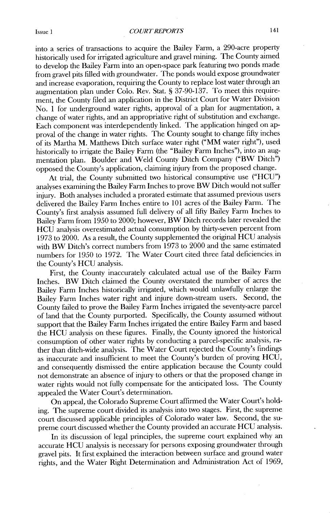into a series of transactions to acquire the Bailey Farm, a 290-acre property historically used for irrigated agriculture and gravel mining. The County aimed to develop the Bailey Farm into an open-space park featuring two ponds made from gravel pits filled with groundwater. The ponds would expose groundwater and increase evaporation, requiring the County to replace lost water through an augmentation plan under Colo. Rev. Stat. **§ 37-90-137.** To meet this requirement, the County filed an application in the District Court for Water Division No. 1 for underground water rights, approval of a plan for augmentation, a change of water rights, and an appropriative right of substitution and exchange. Each component was interdependently linked. The application hinged on approval of the change in water rights. The County sought to change fifty inches of its Martha M. Matthews Ditch surface water right ("MM water right"), used historically to irrigate the Bailey Farm (the "Bailey Farm Inches"), into an augmentation plan. Boulder and Weld County Ditch Company ("BW Ditch") opposed the County's application, claiming injury from the proposed change.

At trial, the County submitted two historical consumptive use **("HCU")** analyses examining the Bailey Farm Inches to prove BW Ditch would not suffer injury. Both analyses included a prorated estimate that assumed previous users delivered the Bailey Farm Inches entire to **101** acres of the Bailey Farm. The County's first analysis assumed full delivery of all fifty Bailey Farm Inches to Bailey Farm from **1950** to 2000; however, BW Ditch records later revealed the **HCU** analysis overestimated actual consumption **by** thirty-seven percent from **1973** to 2000. As a result, the County supplemented the original **HCU** analysis with BW Ditch's correct numbers from **1973** to 2000 and the same estimated numbers for **1950** to **1972.** The Water Court cited three fatal deficiencies. in the County's **HCU** analysis.

First, the County inaccurately calculated actual use of the Bailey Farm Inches. BW Ditch claimed the County overstated the number of acres the Bailey Farm Inches historically irrigated, which would unlawfully enlarge the Bailey Farm Inches water right and injure down-stream users. Second, the County failed to prove the Bailey Farm Inches irrigated the seventy-acre parcel of land that the County purported. Specifically, the County assumed without support that the Bailey Farm Inches irrigated the entire Bailey Farm and based the **HCU** analysis on these figures. Finally, the County ignored the historical consumption of other water rights **by** conducting a parcel-specific analysis, rather than ditch-wide analysis. The Water Court rejected the County's findings as inaccurate and insufficient to meet the County's burden of proving **HCU,** and consequently dismissed the entire application because the County could not demonstrate an absence of injury to others or that the proposed change in water rights would not fully compensate for the anticipated loss. The County appealed the Water Court's determination.

On appeal, the Colorado Supreme Court affirmed the Water Court's holding. The supreme court divided its analysis into two stages. First, the supreme court discussed applicable principles of Colorado water law. Second, the supreme court discussed whether the County provided an accurate **HCU** analysis.

In its discussion of legal principles, the supreme court explained why an accurate **HCU** analysis is necessary for persons exposing groundwater through gravel pits. It first explained the interaction between surface and ground water rights, and the Water Right Determination and Administration Act of **1969,**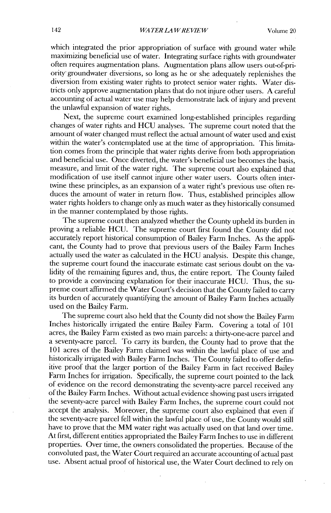which integrated the prior appropriation of surface **with** ground water while maximizing beneficial use of water. Integrating surface rights with groundwater often requires augmentation plans. Augmentation plans allow users out-of-priority- groundwater diversions, so long as he or she adequately replenishes the diversion from existing water rights to protect senior water rights. Water **dis**tricts only approve augmentation plans that do not injure other users. **A** careful accounting of actual water use may help demonstrate lack of injury and prevent the unlawful expansion of water rights.

Next, the supreme court examined long-established principles regarding changes of water rights and **HCU** analyses. The supreme court noted that the amount of water changed must reflect the actual amount of water used and exist within the water's contemplated use at the time of appropriation. This limitation comes from the principle that water rights derive from both appropriation and beneficial use. Once diverted, the water's beneficial use becomes the basis, measure, and limit of the water right. The supreme court also explained that modification of use itself cannot injure other water users. Courts often intertwine these principles, as an expansion of a water right's previous use often reduces the amount of water in return flow. Thus, established principles allow water rights holders to change only as much water as they historically consumed in the manner contemplated **by** those rights.

The supreme court then analyzed whether the County upheld its burden in proving a reliable **HCU.** The supreme court first found the County **did** not accurately report historical consumption of Bailey Farm Inches. As the applicant, the County had to prove that previous users of the Bailey Farm Inches actually used the water as calculated in the **HCU** analysis. Despite this change, the supreme court found the inaccurate estimate cast serious doubt on the validity of the remaining figures and, thus, the entire report. The County failed to provide a convincing explanation for their inaccurate **HCU.** Thus, the supreme court affirmed the Water Court's decision that the County failed to carry its burden of accurately quantifying the amount of Bailey Farm Inches actually used on the Bailey Farm.

The supreme court also held that the County did not show the Bailey Farm Inches historically irrigated the entire Bailey Farm. Covering a total of **101** acres, the Bailey Farm existed as two main parcels: a thirty-one-acre parcel and a seventy-acre parcel. To carry its burden, the County had to prove that the **101** acres of the Bailey Farm claimed was within the lawful place of use and historically irrigated with Bailey Farm Inches. The County failed to offer definitive proof that the larger portion of the Bailey Farm in fact received Bailey Farm Inches for irrigation. Specifically, the supreme court pointed to the lack of evidence on the record demonstrating the seventy-acre parcel received any of the Bailey Farm Inches. Without actual evidence showing past users irrigated the seventy-acre parcel **with** Bailey Farm Inches, the supreme court could not accept the analysis. Moreover, the supreme court also explained that even if the seventy-acre parcel **fell** within the lawful place of use, the County would still have to prove that the MM water right was actually used on that land over time. At first, different entities appropriated the Bailey Farm Inches to use in different properties. Over time, the owners consolidated the properties. Because of the convoluted past, the Water Court required an accurate accounting of actual past use. Absent actual proof of historical use, the Water Court declined to rely on